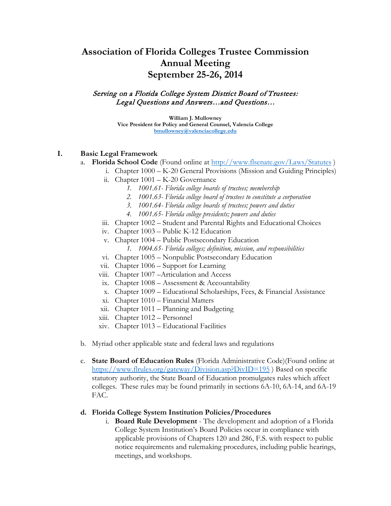# **Association of Florida Colleges Trustee Commission Annual Meeting September 25-26, 2014**

#### Serving on a Florida College System District Board of Trustees: Legal Questions and Answers…and Questions…

**William J. Mullowney Vice President for Policy and General Counsel, Valencia College [bmullowney@valenciacollege.edu](mailto:bmullowney@valenciacollege.edu)**

## **I. Basic Legal Framework**

- a. **Florida School Code** (Found online at<http://www.flsenate.gov/Laws/Statutes> )
	- i. Chapter 1000 K-20 General Provisions (Mission and Guiding Principles)
	- ii. Chapter 1001 K-20 Governance
		- *1. 1001.61- Florida college boards of trustees; membership*
		- *2. 1001.63- Florida college board of trustees to constitute a corporation*
		- *3. 1001.64- Florida college boards of trustees; powers and duties*
		- *4. 1001.65- Florida college presidents; powers and duties*
	- iii. Chapter 1002 Student and Parental Rights and Educational Choices
	- iv. Chapter 1003 Public K-12 Education
	- v. Chapter 1004 Public Postsecondary Education
		- *1. 1004.65- Florida colleges; definition, mission, and responsibilities*
	- vi. Chapter 1005 Nonpublic Postsecondary Education
	- vii. Chapter 1006 Support for Learning
	- viii. Chapter 1007 –Articulation and Access
	- ix. Chapter 1008 Assessment & Accountability
	- x. Chapter 1009 Educational Scholarships, Fees, & Financial Assistance
	- xi. Chapter 1010 Financial Matters
	- xii. Chapter 1011 Planning and Budgeting
	- xiii. Chapter 1012 Personnel
	- xiv. Chapter 1013 Educational Facilities
- b. Myriad other applicable state and federal laws and regulations
- c. **State Board of Education Rules** (Florida Administrative Code)(Found online at <https://www.flrules.org/gateway/Division.asp?DivID=195> ) Based on specific statutory authority, the State Board of Education promulgates rules which affect colleges. These rules may be found primarily in sections 6A-10, 6A-14, and 6A-19 FAC.

## **d. Florida College System Institution Policies/Procedures**

i. **Board Rule Development** - The development and adoption of a Florida College System Institution's Board Policies occur in compliance with applicable provisions of Chapters 120 and 286, F.S. with respect to public notice requirements and rulemaking procedures, including public hearings, meetings, and workshops.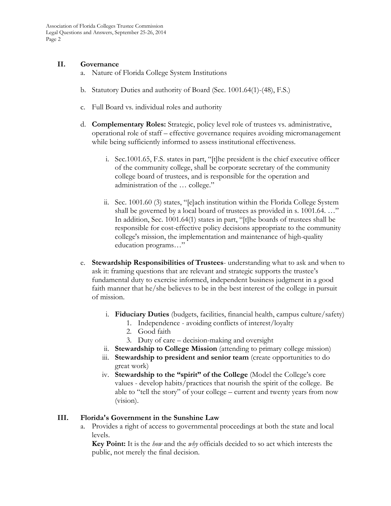#### **II. Governance**

- a. Nature of Florida College System Institutions
- b. Statutory Duties and authority of Board (Sec. 1001.64(1)-(48), F.S.)
- c. Full Board vs. individual roles and authority
- d. **Complementary Roles:** Strategic, policy level role of trustees vs. administrative, operational role of staff – effective governance requires avoiding micromanagement while being sufficiently informed to assess institutional effectiveness.
	- i. Sec.1001.65, F.S. states in part, "[t]he president is the chief executive officer of the community college, shall be corporate secretary of the community college board of trustees, and is responsible for the operation and administration of the … college."
	- ii. Sec. 1001.60 (3) states, "[e]ach institution within the Florida College System shall be governed by a local board of trustees as provided in s. 1001.64. ..." In addition, Sec. 1001.64(1) states in part, "[t]he boards of trustees shall be responsible for cost-effective policy decisions appropriate to the community college's mission, the implementation and maintenance of high-quality education programs…"
- e. **Stewardship Responsibilities of Trustees** understanding what to ask and when to ask it: framing questions that are relevant and strategic supports the trustee's fundamental duty to exercise informed, independent business judgment in a good faith manner that he/she believes to be in the best interest of the college in pursuit of mission.
	- i. **Fiduciary Duties** (budgets, facilities, financial health, campus culture/safety)
		- 1. Independence avoiding conflicts of interest/loyalty
		- 2. Good faith
		- 3. Duty of care decision-making and oversight
	- ii. **Stewardship to College Mission** (attending to primary college mission)
	- iii. **Stewardship to president and senior team** (create opportunities to do great work)
	- iv. **Stewardship to the "spirit" of the College** (Model the College's core values - develop habits/practices that nourish the spirit of the college. Be able to "tell the story" of your college – current and twenty years from now (vision).

## **III. Florida's Government in the Sunshine Law**

a. Provides a right of access to governmental proceedings at both the state and local levels.

**Key Point:** It is the *how* and the *why* officials decided to so act which interests the public, not merely the final decision.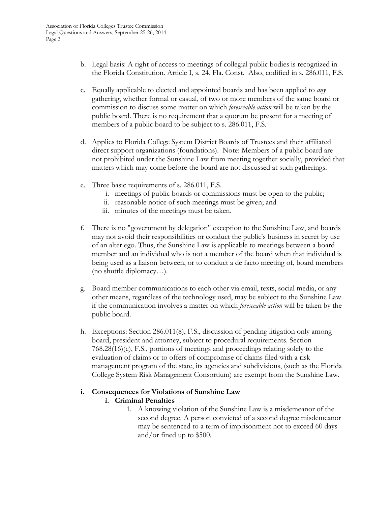- b. Legal basis: A right of access to meetings of collegial public bodies is recognized in the Florida Constitution. Article I, s. 24, Fla. Const. Also, codified in s. 286.011, F.S.
- c. Equally applicable to elected and appointed boards and has been applied to *any* gathering, whether formal or casual, of two or more members of the same board or commission to discuss some matter on which *foreseeable action* will be taken by the public board. There is no requirement that a quorum be present for a meeting of members of a public board to be subject to s. 286.011, F.S.
- d. Applies to Florida College System District Boards of Trustees and their affiliated direct support organizations (foundations). Note: Members of a public board are not prohibited under the Sunshine Law from meeting together socially, provided that matters which may come before the board are not discussed at such gatherings.
- e. Three basic requirements of s. 286.011, F.S.
	- i. meetings of public boards or commissions must be open to the public;
	- ii. reasonable notice of such meetings must be given; and
	- iii. minutes of the meetings must be taken.
- f. There is no "government by delegation" exception to the Sunshine Law, and boards may not avoid their responsibilities or conduct the public's business in secret by use of an alter ego. Thus, the Sunshine Law is applicable to meetings between a board member and an individual who is not a member of the board when that individual is being used as a liaison between, or to conduct a de facto meeting of, board members (no shuttle diplomacy…).
- g. Board member communications to each other via email, texts, social media, or any other means, regardless of the technology used, may be subject to the Sunshine Law if the communication involves a matter on which *foreseeable action* will be taken by the public board.
- h. Exceptions: Section 286.011(8), F.S., discussion of pending litigation only among board, president and attorney, subject to procedural requirements. Section 768.28(16)(c), F.S., portions of meetings and proceedings relating solely to the evaluation of claims or to offers of compromise of claims filed with a risk management program of the state, its agencies and subdivisions, (such as the Florida College System Risk Management Consortium) are exempt from the Sunshine Law.

## **i. Consequences for Violations of Sunshine Law**

## **i. Criminal Penalties**

1. A knowing violation of the Sunshine Law is a misdemeanor of the second degree. A person convicted of a second degree misdemeanor may be sentenced to a term of imprisonment not to exceed 60 days and/or fined up to \$500.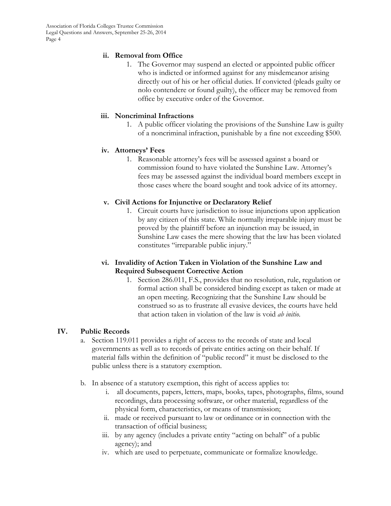Association of Florida Colleges Trustee Commission Legal Questions and Answers, September 25-26, 2014 Page 4

## **ii. Removal from Office**

1. The Governor may suspend an elected or appointed public officer who is indicted or informed against for any misdemeanor arising directly out of his or her official duties. If convicted (pleads guilty or nolo contendere or found guilty), the officer may be removed from office by executive order of the Governor.

#### **iii. Noncriminal Infractions**

1. A public officer violating the provisions of the Sunshine Law is guilty of a noncriminal infraction, punishable by a fine not exceeding \$500.

#### **iv. Attorneys' Fees**

1. Reasonable attorney's fees will be assessed against a board or commission found to have violated the Sunshine Law. Attorney's fees may be assessed against the individual board members except in those cases where the board sought and took advice of its attorney.

#### **v. Civil Actions for Injunctive or Declaratory Relief**

1. Circuit courts have jurisdiction to issue injunctions upon application by any citizen of this state. While normally irreparable injury must be proved by the plaintiff before an injunction may be issued, in Sunshine Law cases the mere showing that the law has been violated constitutes "irreparable public injury."

#### **vi. Invalidity of Action Taken in Violation of the Sunshine Law and Required Subsequent Corrective Action**

1. Section 286.011, F.S., provides that no resolution, rule, regulation or formal action shall be considered binding except as taken or made at an open meeting. Recognizing that the Sunshine Law should be construed so as to frustrate all evasive devices, the courts have held that action taken in violation of the law is void *ab initio*.

## **IV. Public Records**

- a. Section 119.011 provides a right of access to the records of state and local governments as well as to records of private entities acting on their behalf. If material falls within the definition of "public record" it must be disclosed to the public unless there is a statutory exemption.
- b. In absence of a statutory exemption, this right of access applies to:
	- i. all documents, papers, letters, maps, books, tapes, photographs, films, sound recordings, data processing software, or other material, regardless of the physical form, characteristics, or means of transmission;
	- ii. made or received pursuant to law or ordinance or in connection with the transaction of official business;
	- iii. by any agency (includes a private entity "acting on behalf" of a public agency); and
	- iv. which are used to perpetuate, communicate or formalize knowledge.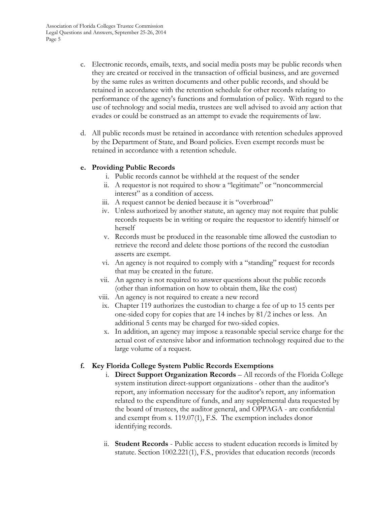- c. Electronic records, emails, texts, and social media posts may be public records when they are created or received in the transaction of official business, and are governed by the same rules as written documents and other public records, and should be retained in accordance with the retention schedule for other records relating to performance of the agency's functions and formulation of policy. With regard to the use of technology and social media, trustees are well advised to avoid any action that evades or could be construed as an attempt to evade the requirements of law.
- d. All public records must be retained in accordance with retention schedules approved by the Department of State, and Board policies. Even exempt records must be retained in accordance with a retention schedule.

## **e. Providing Public Records**

- i. Public records cannot be withheld at the request of the sender
- ii. A requestor is not required to show a "legitimate" or "noncommercial interest" as a condition of access.
- iii. A request cannot be denied because it is "overbroad"
- iv. Unless authorized by another statute, an agency may not require that public records requests be in writing or require the requestor to identify himself or herself
- v. Records must be produced in the reasonable time allowed the custodian to retrieve the record and delete those portions of the record the custodian asserts are exempt.
- vi. An agency is not required to comply with a "standing" request for records that may be created in the future.
- vii. An agency is not required to answer questions about the public records (other than information on how to obtain them, like the cost)
- viii. An agency is not required to create a new record
- ix. Chapter 119 authorizes the custodian to charge a fee of up to 15 cents per one-sided copy for copies that are 14 inches by 81/2 inches or less. An additional 5 cents may be charged for two-sided copies.
- x. In addition, an agency may impose a reasonable special service charge for the actual cost of extensive labor and information technology required due to the large volume of a request.

# **f. Key Florida College System Public Records Exemptions**

- i. **Direct Support Organization Records** All records of the Florida College system institution direct-support organizations - other than the auditor's report, any information necessary for the auditor's report, any information related to the expenditure of funds, and any supplemental data requested by the board of trustees, the auditor general, and OPPAGA - are confidential and exempt from s. 119.07(1), F.S. The exemption includes donor identifying records.
- ii. **Student Records** Public access to student education records is limited by statute. Section 1002.221(1), F.S., provides that education records (records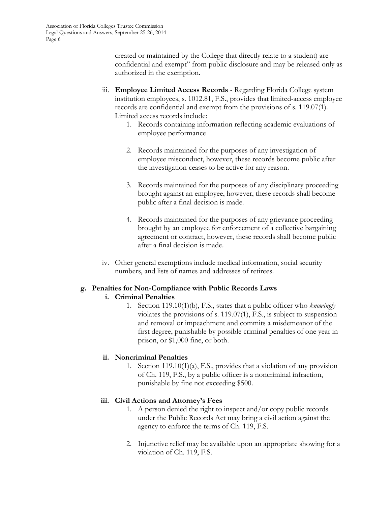created or maintained by the College that directly relate to a student) are confidential and exempt" from public disclosure and may be released only as authorized in the exemption.

- iii. **Employee Limited Access Records** Regarding Florida College system institution employees, s. 1012.81, F.S., provides that limited-access employee records are confidential and exempt from the provisions of s. 119.07(1). Limited access records include:
	- 1. Records containing information reflecting academic evaluations of employee performance
	- 2. Records maintained for the purposes of any investigation of employee misconduct, however, these records become public after the investigation ceases to be active for any reason.
	- 3. Records maintained for the purposes of any disciplinary proceeding brought against an employee, however, these records shall become public after a final decision is made.
	- 4. Records maintained for the purposes of any grievance proceeding brought by an employee for enforcement of a collective bargaining agreement or contract, however, these records shall become public after a final decision is made.
- iv. Other general exemptions include medical information, social security numbers, and lists of names and addresses of retirees.

# **g. Penalties for Non-Compliance with Public Records Laws**

# **i. Criminal Penalties**

1. Section 119.10(1)(b), F.S., states that a public officer who *knowingly*  violates the provisions of s. 119.07(1), F.S., is subject to suspension and removal or impeachment and commits a misdemeanor of the first degree, punishable by possible criminal penalties of one year in prison, or \$1,000 fine, or both.

# **ii. Noncriminal Penalties**

1. Section 119.10(1)(a), F.S., provides that a violation of any provision of Ch. 119, F.S., by a public officer is a noncriminal infraction, punishable by fine not exceeding \$500.

# **iii. Civil Actions and Attorney's Fees**

- 1. A person denied the right to inspect and/or copy public records under the Public Records Act may bring a civil action against the agency to enforce the terms of Ch. 119, F.S.
- 2. Injunctive relief may be available upon an appropriate showing for a violation of Ch. 119, F.S.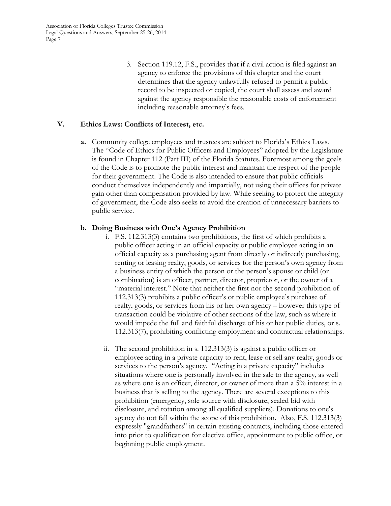3. Section 119.12, F.S., provides that if a civil action is filed against an agency to enforce the provisions of this chapter and the court determines that the agency unlawfully refused to permit a public record to be inspected or copied, the court shall assess and award against the agency responsible the reasonable costs of enforcement including reasonable attorney's fees.

## **V. Ethics Laws: Conflicts of Interest, etc.**

**a.** Community college employees and trustees are subject to Florida's Ethics Laws. The "Code of Ethics for Public Officers and Employees" adopted by the Legislature is found in Chapter 112 (Part III) of the Florida Statutes. Foremost among the goals of the Code is to promote the public interest and maintain the respect of the people for their government. The Code is also intended to ensure that public officials conduct themselves independently and impartially, not using their offices for private gain other than compensation provided by law. While seeking to protect the integrity of government, the Code also seeks to avoid the creation of unnecessary barriers to public service.

## **b. Doing Business with One's Agency Prohibition**

- i. F.S. 112.313(3) contains two prohibitions, the first of which prohibits a public officer acting in an official capacity or public employee acting in an official capacity as a purchasing agent from directly or indirectly purchasing, renting or leasing realty, goods, or services for the person's own agency from a business entity of which the person or the person's spouse or child (or combination) is an officer, partner, director, proprietor, or the owner of a "material interest." Note that neither the first nor the second prohibition of 112.313(3) prohibits a public officer's or public employee's purchase of realty, goods, or services from his or her own agency – however this type of transaction could be violative of other sections of the law, such as where it would impede the full and faithful discharge of his or her public duties, or s. 112.313(7), prohibiting conflicting employment and contractual relationships.
- ii. The second prohibition in s. 112.313(3) is against a public officer or employee acting in a private capacity to rent, lease or sell any realty, goods or services to the person's agency. "Acting in a private capacity" includes situations where one is personally involved in the sale to the agency, as well as where one is an officer, director, or owner of more than a 5% interest in a business that is selling to the agency. There are several exceptions to this prohibition (emergency, sole source with disclosure, sealed bid with disclosure, and rotation among all qualified suppliers). Donations to one's agency do not fall within the scope of this prohibition. Also, F.S. 112.313(3) expressly "grandfathers" in certain existing contracts, including those entered into prior to qualification for elective office, appointment to public office, or beginning public employment.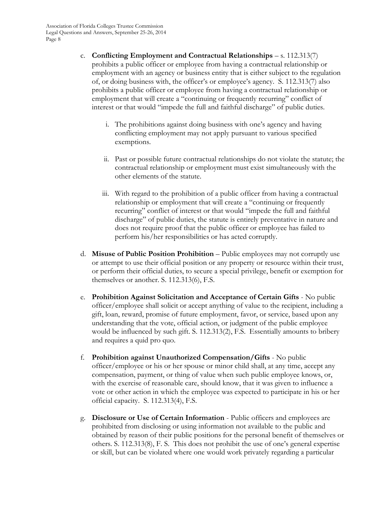- c. **Conflicting Employment and Contractual Relationships** s. 112.313(7) prohibits a public officer or employee from having a contractual relationship or employment with an agency or business entity that is either subject to the regulation of, or doing business with, the officer's or employee's agency. S. 112.313(7) also prohibits a public officer or employee from having a contractual relationship or employment that will create a "continuing or frequently recurring" conflict of interest or that would "impede the full and faithful discharge" of public duties.
	- i. The prohibitions against doing business with one's agency and having conflicting employment may not apply pursuant to various specified exemptions.
	- ii. Past or possible future contractual relationships do not violate the statute; the contractual relationship or employment must exist simultaneously with the other elements of the statute.
	- iii. With regard to the prohibition of a public officer from having a contractual relationship or employment that will create a "continuing or frequently recurring" conflict of interest or that would "impede the full and faithful discharge" of public duties, the statute is entirely preventative in nature and does not require proof that the public officer or employee has failed to perform his/her responsibilities or has acted corruptly.
- d. **Misuse of Public Position Prohibition** Public employees may not corruptly use or attempt to use their official position or any property or resource within their trust, or perform their official duties, to secure a special privilege, benefit or exemption for themselves or another. S. 112.313(6), F.S.
- e. **Prohibition Against Solicitation and Acceptance of Certain Gifts** No public officer/employee shall solicit or accept anything of value to the recipient, including a gift, loan, reward, promise of future employment, favor, or service, based upon any understanding that the vote, official action, or judgment of the public employee would be influenced by such gift. S. 112.313(2), F.S. Essentially amounts to bribery and requires a quid pro quo.
- f. **Prohibition against Unauthorized Compensation/Gifts** No public officer/employee or his or her spouse or minor child shall, at any time, accept any compensation, payment, or thing of value when such public employee knows, or, with the exercise of reasonable care, should know, that it was given to influence a vote or other action in which the employee was expected to participate in his or her official capacity. S. 112.313(4), F.S.
- g. **Disclosure or Use of Certain Information**  Public officers and employees are prohibited from disclosing or using information not available to the public and obtained by reason of their public positions for the personal benefit of themselves or others. S. 112.313(8), F. S. This does not prohibit the use of one's general expertise or skill, but can be violated where one would work privately regarding a particular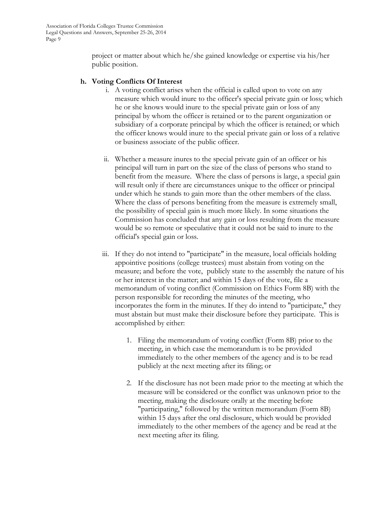project or matter about which he/she gained knowledge or expertise via his/her public position.

#### **h. Voting Conflicts Of Interest**

- i. A voting conflict arises when the official is called upon to vote on any measure which would inure to the officer's special private gain or loss; which he or she knows would inure to the special private gain or loss of any principal by whom the officer is retained or to the parent organization or subsidiary of a corporate principal by which the officer is retained; or which the officer knows would inure to the special private gain or loss of a relative or business associate of the public officer.
- ii. Whether a measure inures to the special private gain of an officer or his principal will turn in part on the size of the class of persons who stand to benefit from the measure. Where the class of persons is large, a special gain will result only if there are circumstances unique to the officer or principal under which he stands to gain more than the other members of the class. Where the class of persons benefiting from the measure is extremely small, the possibility of special gain is much more likely. In some situations the Commission has concluded that any gain or loss resulting from the measure would be so remote or speculative that it could not be said to inure to the official's special gain or loss.
- iii. If they do not intend to "participate" in the measure, local officials holding appointive positions (college trustees) must abstain from voting on the measure; and before the vote, publicly state to the assembly the nature of his or her interest in the matter; and within 15 days of the vote, file a memorandum of voting conflict (Commission on Ethics Form 8B) with the person responsible for recording the minutes of the meeting, who incorporates the form in the minutes. If they do intend to "participate," they must abstain but must make their disclosure before they participate. This is accomplished by either:
	- 1. Filing the memorandum of voting conflict (Form 8B) prior to the meeting, in which case the memorandum is to be provided immediately to the other members of the agency and is to be read publicly at the next meeting after its filing; or
	- 2. If the disclosure has not been made prior to the meeting at which the measure will be considered or the conflict was unknown prior to the meeting, making the disclosure orally at the meeting before "participating," followed by the written memorandum (Form 8B) within 15 days after the oral disclosure, which would be provided immediately to the other members of the agency and be read at the next meeting after its filing.